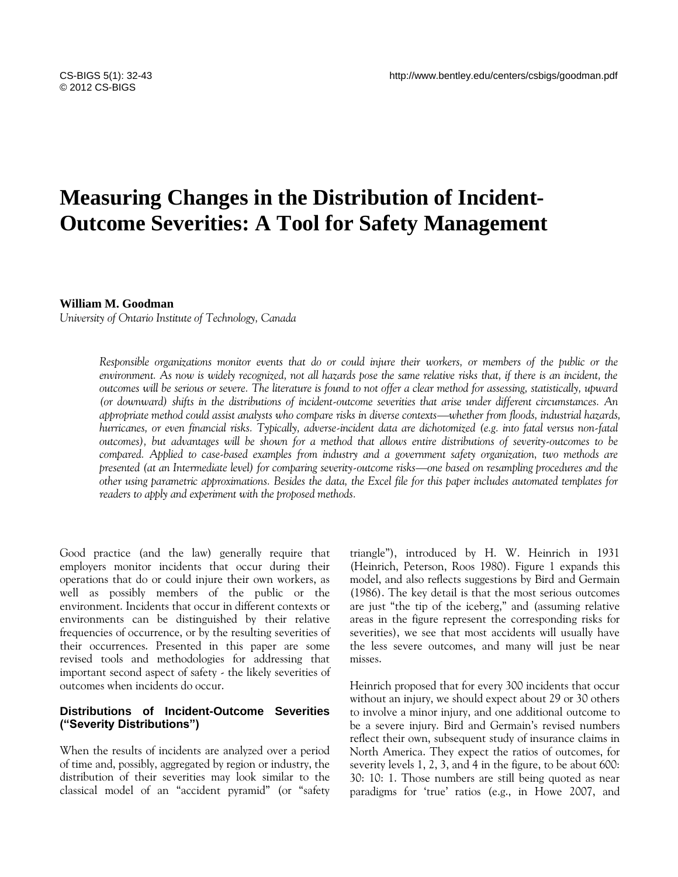# **Measuring Changes in the Distribution of Incident-Outcome Severities: A Tool for Safety Management**

#### **William M. Goodman**

*University of Ontario Institute of Technology, Canada*

*Responsible organizations monitor events that do or could injure their workers, or members of the public or the environment. As now is widely recognized, not all hazards pose the same relative risks that, if there is an incident, the outcomes will be serious or severe. The literature is found to not offer a clear method for assessing, statistically, upward (or downward) shifts in the distributions of incident-outcome severities that arise under different circumstances. An appropriate method could assist analysts who compare risks in diverse contexts—whether from floods, industrial hazards, hurricanes, or even financial risks. Typically, adverse-incident data are dichotomized (e.g. into fatal versus non-fatal outcomes), but advantages will be shown for a method that allows entire distributions of severity-outcomes to be compared. Applied to case-based examples from industry and a government safety organization, two methods are presented (at an Intermediate level) for comparing severity-outcome risks—one based on resampling procedures and the other using parametric approximations. Besides the data, the Excel file for this paper includes automated templates for readers to apply and experiment with the proposed methods.*

Good practice (and the law) generally require that employers monitor incidents that occur during their operations that do or could injure their own workers, as well as possibly members of the public or the environment. Incidents that occur in different contexts or environments can be distinguished by their relative frequencies of occurrence, or by the resulting severities of their occurrences. Presented in this paper are some revised tools and methodologies for addressing that important second aspect of safety - the likely severities of outcomes when incidents do occur.

### **Distributions of Incident-Outcome Severities ("Severity Distributions")**

When the results of incidents are analyzed over a period of time and, possibly, aggregated by region or industry, the distribution of their severities may look similar to the classical model of an "accident pyramid" (or "safety triangle‖), introduced by H. W. Heinrich in 1931 (Heinrich, Peterson, Roos 1980). Figure 1 expands this model, and also reflects suggestions by Bird and Germain (1986). The key detail is that the most serious outcomes are just "the tip of the iceberg," and (assuming relative areas in the figure represent the corresponding risks for severities), we see that most accidents will usually have the less severe outcomes, and many will just be near misses.

Heinrich proposed that for every 300 incidents that occur without an injury, we should expect about 29 or 30 others to involve a minor injury, and one additional outcome to be a severe injury. Bird and Germain's revised numbers reflect their own, subsequent study of insurance claims in North America. They expect the ratios of outcomes, for severity levels 1, 2, 3, and 4 in the figure, to be about 600: 30: 10: 1. Those numbers are still being quoted as near paradigms for 'true' ratios (e.g., in Howe 2007, and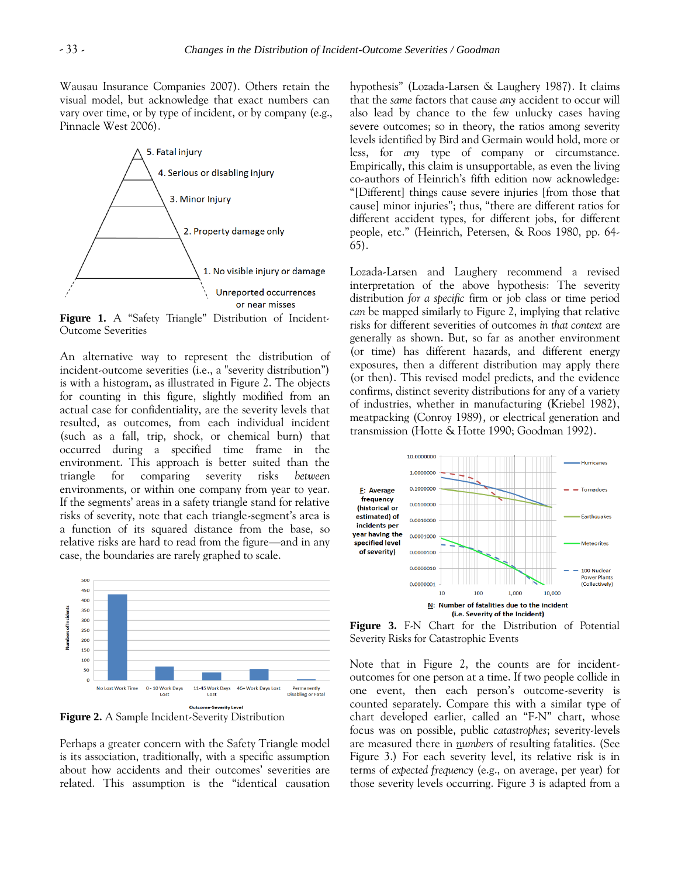Wausau Insurance Companies 2007). Others retain the visual model, but acknowledge that exact numbers can vary over time, or by type of incident, or by company (e.g., Pinnacle West 2006).



Figure 1. A "Safety Triangle" Distribution of Incident-Outcome Severities

An alternative way to represent the distribution of incident-outcome severities (i.e., a "severity distribution") is with a histogram, as illustrated in Figure 2. The objects for counting in this figure, slightly modified from an actual case for confidentiality, are the severity levels that resulted, as outcomes, from each individual incident (such as a fall, trip, shock, or chemical burn) that occurred during a specified time frame in the environment. This approach is better suited than the triangle for comparing severity risks *between* environments, or within one company from year to year. If the segments' areas in a safety triangle stand for relative risks of severity, note that each triangle-segment's area is a function of its squared distance from the base, so relative risks are hard to read from the figure—and in any case, the boundaries are rarely graphed to scale.



**Figure 2.** A Sample Incident-Severity Distribution

Perhaps a greater concern with the Safety Triangle model is its association, traditionally, with a specific assumption about how accidents and their outcomes' severities are related. This assumption is the "identical causation hypothesis‖ (Lozada-Larsen & Laughery 1987). It claims that the *same* factors that cause *any* accident to occur will also lead by chance to the few unlucky cases having severe outcomes; so in theory, the ratios among severity levels identified by Bird and Germain would hold, more or less, for *any* type of company or circumstance. Empirically, this claim is unsupportable, as even the living co-authors of Heinrich's fifth edition now acknowledge: ―[Different] things cause severe injuries [from those that cause] minor injuries"; thus, "there are different ratios for different accident types, for different jobs, for different people, etc.‖ (Heinrich, Petersen, & Roos 1980, pp. 64- 65).

Lozada-Larsen and Laughery recommend a revised interpretation of the above hypothesis: The severity distribution *for a specific* firm or job class or time period *can* be mapped similarly to Figure 2, implying that relative risks for different severities of outcomes *in that context* are generally as shown. But, so far as another environment (or time) has different hazards, and different energy exposures, then a different distribution may apply there (or then). This revised model predicts, and the evidence confirms, distinct severity distributions for any of a variety of industries, whether in manufacturing (Kriebel 1982), meatpacking (Conroy 1989), or electrical generation and transmission (Hotte & Hotte 1990; Goodman 1992).



**Figure 3.** F-N Chart for the Distribution of Potential Severity Risks for Catastrophic Events

Note that in Figure 2, the counts are for incidentoutcomes for one person at a time. If two people collide in one event, then each person's outcome-severity is counted separately. Compare this with a similar type of chart developed earlier, called an "F-N" chart, whose focus was on possible, public *catastrophes*; severity-levels are measured there in *numbers* of resulting fatalities. (See Figure 3.) For each severity level, its relative risk is in terms of *expected frequency* (e.g., on average, per year) for those severity levels occurring. Figure 3 is adapted from a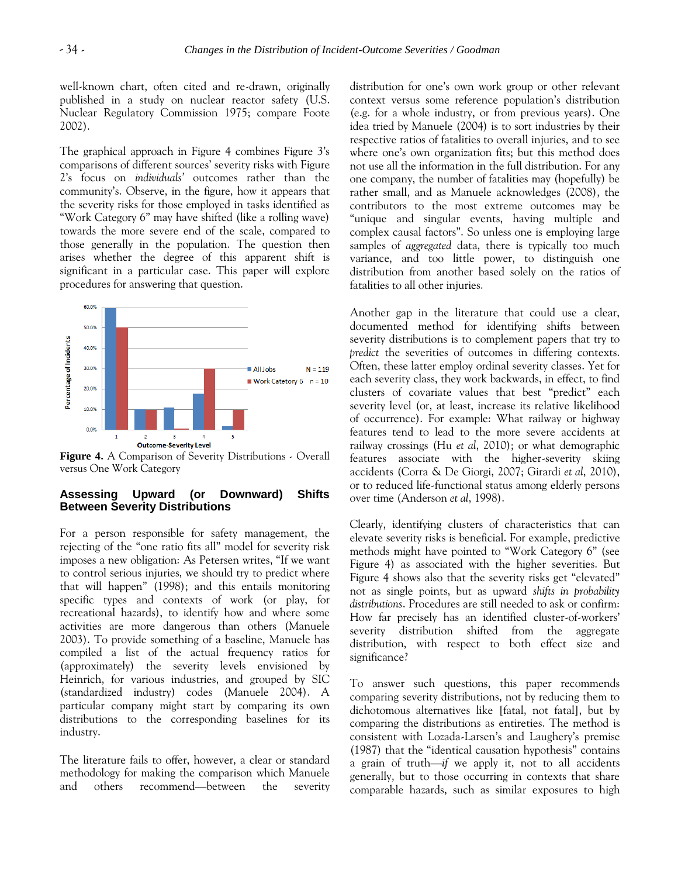well-known chart, often cited and re-drawn, originally published in a study on nuclear reactor safety (U.S. Nuclear Regulatory Commission 1975; compare Foote 2002).

The graphical approach in Figure 4 combines Figure 3's comparisons of different sources' severity risks with Figure 2's focus on *individuals'* outcomes rather than the community's. Observe, in the figure, how it appears that the severity risks for those employed in tasks identified as "Work Category 6" may have shifted (like a rolling wave) towards the more severe end of the scale, compared to those generally in the population. The question then arises whether the degree of this apparent shift is significant in a particular case. This paper will explore procedures for answering that question.



**Figure 4.** A Comparison of Severity Distributions - Overall versus One Work Category

#### **Assessing Upward (or Downward) Shifts Between Severity Distributions**

For a person responsible for safety management, the rejecting of the "one ratio fits all" model for severity risk imposes a new obligation: As Petersen writes, "If we want to control serious injuries, we should try to predict where that will happen‖ (1998); and this entails monitoring specific types and contexts of work (or play, for recreational hazards), to identify how and where some activities are more dangerous than others (Manuele 2003). To provide something of a baseline, Manuele has compiled a list of the actual frequency ratios for (approximately) the severity levels envisioned by Heinrich, for various industries, and grouped by SIC (standardized industry) codes (Manuele 2004). A particular company might start by comparing its own distributions to the corresponding baselines for its industry.

The literature fails to offer, however, a clear or standard methodology for making the comparison which Manuele and others recommend—between the severity distribution for one's own work group or other relevant context versus some reference population's distribution (e.g. for a whole industry, or from previous years). One idea tried by Manuele (2004) is to sort industries by their respective ratios of fatalities to overall injuries, and to see where one's own organization fits; but this method does not use all the information in the full distribution. For any one company, the number of fatalities may (hopefully) be rather small, and as Manuele acknowledges (2008), the contributors to the most extreme outcomes may be "unique and singular events, having multiple and complex causal factors". So unless one is employing large samples of *aggregated* data, there is typically too much variance, and too little power, to distinguish one distribution from another based solely on the ratios of fatalities to all other injuries.

Another gap in the literature that could use a clear, documented method for identifying shifts between severity distributions is to complement papers that try to *predict* the severities of outcomes in differing contexts. Often, these latter employ ordinal severity classes. Yet for each severity class, they work backwards, in effect, to find clusters of covariate values that best "predict" each severity level (or, at least, increase its relative likelihood of occurrence). For example: What railway or highway features tend to lead to the more severe accidents at railway crossings (Hu *et al*, 2010); or what demographic features associate with the higher-severity skiing accidents (Corra & De Giorgi, 2007; Girardi *et al*, 2010), or to reduced life-functional status among elderly persons over time (Anderson *et al*, 1998).

Clearly, identifying clusters of characteristics that can elevate severity risks is beneficial. For example, predictive methods might have pointed to "Work Category 6" (see Figure 4) as associated with the higher severities. But Figure 4 shows also that the severity risks get "elevated" not as single points, but as upward *shifts in probability distributions*. Procedures are still needed to ask or confirm: How far precisely has an identified cluster-of-workers' severity distribution shifted from the aggregate distribution, with respect to both effect size and significance?

To answer such questions, this paper recommends comparing severity distributions, not by reducing them to dichotomous alternatives like [fatal, not fatal], but by comparing the distributions as entireties. The method is consistent with Lozada-Larsen's and Laughery's premise (1987) that the "identical causation hypothesis" contains a grain of truth—*if* we apply it, not to all accidents generally, but to those occurring in contexts that share comparable hazards, such as similar exposures to high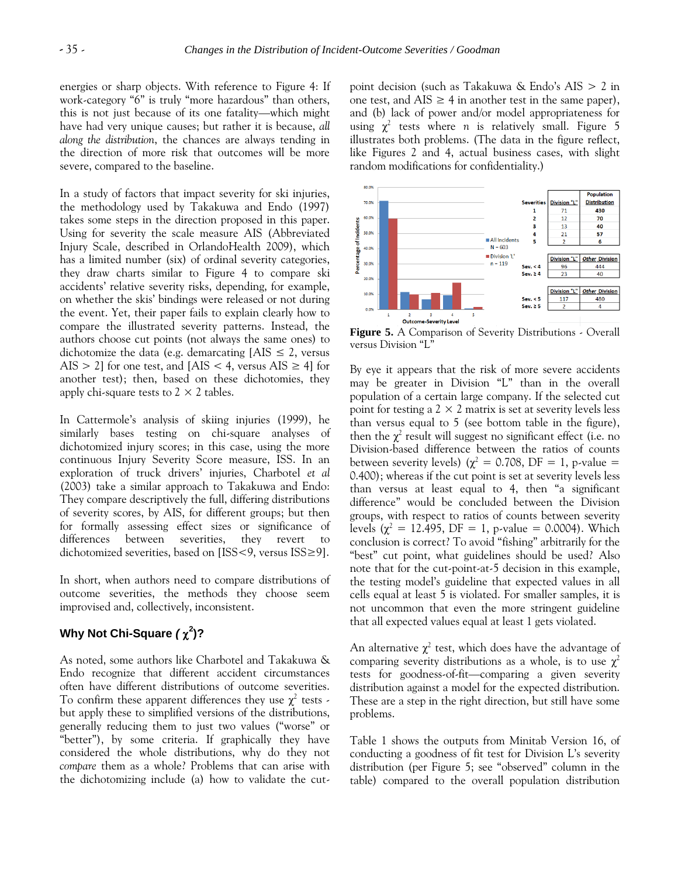energies or sharp objects. With reference to Figure 4: If work-category "6" is truly "more hazardous" than others, this is not just because of its one fatality—which might have had very unique causes; but rather it is because, *all along the distribution*, the chances are always tending in the direction of more risk that outcomes will be more severe, compared to the baseline.

In a study of factors that impact severity for ski injuries, the methodology used by Takakuwa and Endo (1997) takes some steps in the direction proposed in this paper. Using for severity the scale measure AIS (Abbreviated Injury Scale, described in OrlandoHealth 2009), which has a limited number (six) of ordinal severity categories, they draw charts similar to Figure 4 to compare ski accidents' relative severity risks, depending, for example, on whether the skis' bindings were released or not during the event. Yet, their paper fails to explain clearly how to compare the illustrated severity patterns. Instead, the authors choose cut points (not always the same ones) to dichotomize the data (e.g. demarcating  $[ANS \leq 2]$ , versus AIS > 2] for one test, and [AIS < 4, versus AIS  $\geq$  4] for another test); then, based on these dichotomies, they apply chi-square tests to  $2 \times 2$  tables.

In Cattermole's analysis of skiing injuries (1999), he similarly bases testing on chi-square analyses of dichotomized injury scores; in this case, using the more continuous Injury Severity Score measure, ISS. In an exploration of truck drivers' injuries, Charbotel *et al* (2003) take a similar approach to Takakuwa and Endo: They compare descriptively the full, differing distributions of severity scores, by AIS, for different groups; but then for formally assessing effect sizes or significance of differences between severities, they revert to dichotomized severities, based on [ISS<9, versus ISS≥9].

In short, when authors need to compare distributions of outcome severities, the methods they choose seem improvised and, collectively, inconsistent.

# **Why Not Chi-Square** *(*  **2 )?**

As noted, some authors like Charbotel and Takakuwa & Endo recognize that different accident circumstances often have different distributions of outcome severities. To confirm these apparent differences they use  $\chi^2$  tests but apply these to simplified versions of the distributions, generally reducing them to just two values ("worse" or "better"), by some criteria. If graphically they have considered the whole distributions, why do they not *compare* them as a whole? Problems that can arise with the dichotomizing include (a) how to validate the cutpoint decision (such as Takakuwa & Endo's AIS > 2 in one test, and  $\text{AIS} \geq 4$  in another test in the same paper), and (b) lack of power and/or model appropriateness for using  $\chi^2$  tests where *n* is relatively small. Figure 5 illustrates both problems. (The data in the figure reflect, like Figures 2 and 4, actual business cases, with slight random modifications for confidentiality.)



**Figure 5.** A Comparison of Severity Distributions - Overall versus Division "L"

By eye it appears that the risk of more severe accidents may be greater in Division "L" than in the overall population of a certain large company. If the selected cut point for testing a  $2 \times 2$  matrix is set at severity levels less than versus equal to 5 (see bottom table in the figure), then the  $\chi^2$  result will suggest no significant effect (i.e. no Division-based difference between the ratios of counts between severity levels) ( $\chi^2 = 0.708$ , DF = 1, p-value = 0.400); whereas if the cut point is set at severity levels less than versus at least equal to  $4$ , then "a significant difference" would be concluded between the Division groups, with respect to ratios of counts between severity levels ( $\chi^2 = 12.495$ , DF = 1, p-value = 0.0004). Which conclusion is correct? To avoid "fishing" arbitrarily for the "best" cut point, what guidelines should be used? Also note that for the cut-point-at-5 decision in this example, the testing model's guideline that expected values in all cells equal at least 5 is violated. For smaller samples, it is not uncommon that even the more stringent guideline that all expected values equal at least 1 gets violated.

An alternative  $\chi^2$  test, which does have the advantage of comparing severity distributions as a whole, is to use  $\chi^2$ tests for goodness-of-fit—comparing a given severity distribution against a model for the expected distribution. These are a step in the right direction, but still have some problems.

Table 1 shows the outputs from Minitab Version 16, of conducting a goodness of fit test for Division L's severity distribution (per Figure 5; see "observed" column in the table) compared to the overall population distribution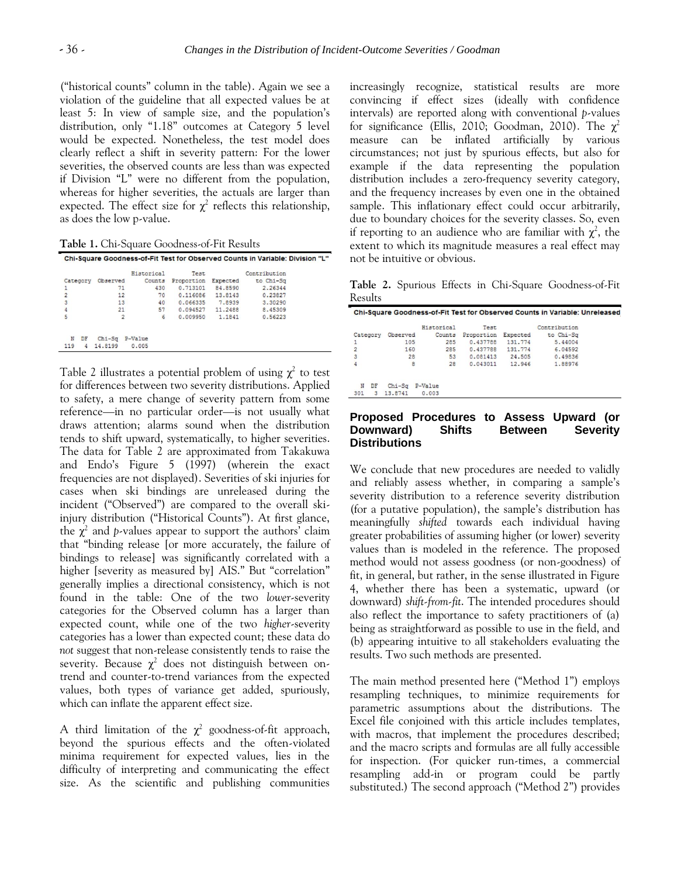(―historical counts‖ column in the table). Again we see a violation of the guideline that all expected values be at least 5: In view of sample size, and the population's distribution, only "1.18" outcomes at Category 5 level would be expected. Nonetheless, the test model does clearly reflect a shift in severity pattern: For the lower severities, the observed counts are less than was expected if Division "L" were no different from the population, whereas for higher severities, the actuals are larger than expected. The effect size for  $\chi^2$  reflects this relationship, as does the low p-value.

**Table 1.** Chi-Square Goodness-of-Fit Results

|                |                | Historical | Test.      |          | Contribution |  |
|----------------|----------------|------------|------------|----------|--------------|--|
| Category       | Observed       | Counts     | Proportion | Expected | to Chi-Sq    |  |
|                | 71             | 430        | 0.713101   | 84.8590  | 2.26344      |  |
| $\overline{2}$ | 12             | 70         | 0.116086   | 13.8143  | 0.23827      |  |
| 3              | 13             | 40         | 0.066335   | 7.8939   | 3.30290      |  |
| 4              | 21             | 57         | 0.094527   | 11,2488  | 8.45309      |  |
| 5              | $\overline{2}$ | 6          | 0.009950   | 1.1841   | 0.56223      |  |
| N<br>DF        | $Chi-S\sigma$  | P-Value    |            |          |              |  |
| 119<br>4       | 14.8199        | 0.005      |            |          |              |  |

Table 2 illustrates a potential problem of using  $\chi^2$  to test for differences between two severity distributions. Applied to safety, a mere change of severity pattern from some reference—in no particular order—is not usually what draws attention; alarms sound when the distribution tends to shift upward, systematically, to higher severities. The data for Table 2 are approximated from Takakuwa and Endo's Figure 5 (1997) (wherein the exact frequencies are not displayed). Severities of ski injuries for cases when ski bindings are unreleased during the incident ("Observed") are compared to the overall skiinjury distribution ("Historical Counts"). At first glance, the  $\chi^2$  and *p*-values appear to support the authors' claim that "binding release [or more accurately, the failure of bindings to release] was significantly correlated with a higher [severity as measured by] AIS." But "correlation" generally implies a directional consistency, which is not found in the table: One of the two *lower*-severity categories for the Observed column has a larger than expected count, while one of the two *higher*-severity categories has a lower than expected count; these data do *not* suggest that non-release consistently tends to raise the severity. Because  $\chi^2$  does not distinguish between ontrend and counter-to-trend variances from the expected values, both types of variance get added, spuriously, which can inflate the apparent effect size.

A third limitation of the  $\chi^2$  goodness-of-fit approach, beyond the spurious effects and the often-violated minima requirement for expected values, lies in the difficulty of interpreting and communicating the effect size. As the scientific and publishing communities

increasingly recognize, statistical results are more convincing if effect sizes (ideally with confidence intervals) are reported along with conventional *p*-values for significance (Ellis, 2010; Goodman, 2010). The  $\chi^2$ measure can be inflated artificially by various circumstances; not just by spurious effects, but also for example if the data representing the population distribution includes a zero-frequency severity category, and the frequency increases by even one in the obtained sample. This inflationary effect could occur arbitrarily, due to boundary choices for the severity classes. So, even if reporting to an audience who are familiar with  $\chi^2$ , the extent to which its magnitude measures a real effect may not be intuitive or obvious.

**Table 2.** Spurious Effects in Chi-Square Goodness-of-Fit Results

|                |               | Historical |     | Test.      |          | Contribution |  |
|----------------|---------------|------------|-----|------------|----------|--------------|--|
| Category       | Observed      | Counts     |     | Proportion | Expected | to Chi-Sa    |  |
|                |               | 105        | 285 | 0.437788   | 131.774  | 5.44004      |  |
| $\overline{c}$ |               | 160        | 285 | 0.437788   | 131.774  | 6.04592      |  |
| $\overline{3}$ |               | 28         | 53  | 0.081413   | 24,505   | 0.49836      |  |
| 4              |               | 8          | 28  | 0.043011   | 12.946   | 1.88976      |  |
| N<br>DF        | $Chi-S\sigma$ | P-Value    |     |            |          |              |  |
| 301<br>3       | 13.8741       | 0.003      |     |            |          |              |  |

#### **Proposed Procedures to Assess Upward (or Downward) Shifts Between Severity Distributions**

We conclude that new procedures are needed to validly and reliably assess whether, in comparing a sample's severity distribution to a reference severity distribution (for a putative population), the sample's distribution has meaningfully *shifted* towards each individual having greater probabilities of assuming higher (or lower) severity values than is modeled in the reference. The proposed method would not assess goodness (or non-goodness) of fit, in general, but rather, in the sense illustrated in Figure 4, whether there has been a systematic, upward (or downward) *shift-from-fit*. The intended procedures should also reflect the importance to safety practitioners of (a) being as straightforward as possible to use in the field, and (b) appearing intuitive to all stakeholders evaluating the results. Two such methods are presented.

The main method presented here ("Method 1") employs resampling techniques, to minimize requirements for parametric assumptions about the distributions. The Excel file conjoined with this article includes templates, with macros, that implement the procedures described; and the macro scripts and formulas are all fully accessible for inspection. (For quicker run-times, a commercial resampling add-in or program could be partly substituted.) The second approach ("Method 2") provides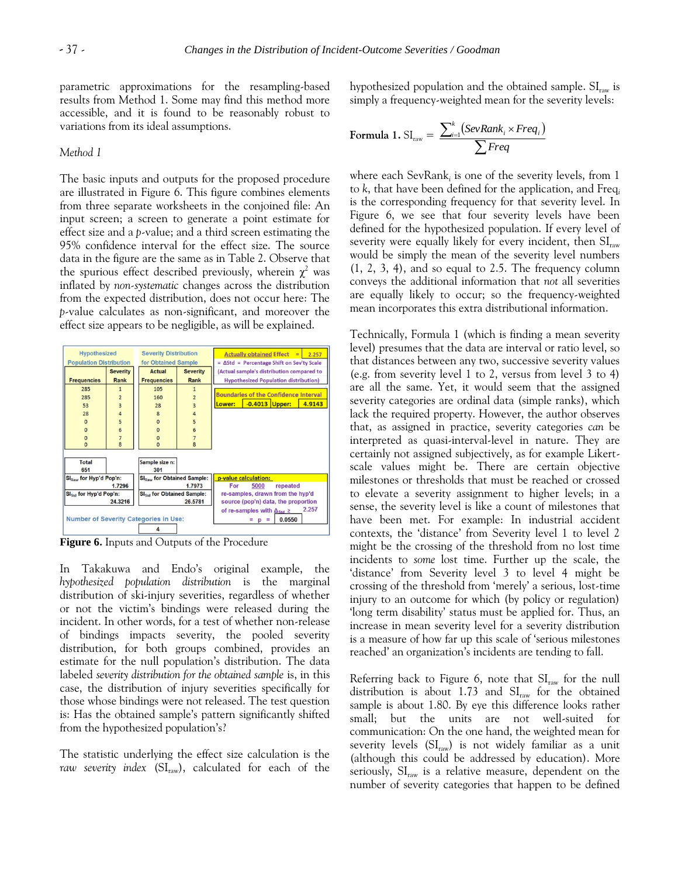parametric approximations for the resampling-based results from Method 1. Some may find this method more accessible, and it is found to be reasonably robust to variations from its ideal assumptions.

#### *Method 1*

The basic inputs and outputs for the proposed procedure are illustrated in Figure 6. This figure combines elements from three separate worksheets in the conjoined file: An input screen; a screen to generate a point estimate for effect size and a *p*-value; and a third screen estimating the 95% confidence interval for the effect size. The source data in the figure are the same as in Table 2. Observe that the spurious effect described previously, wherein  $\chi^2$  was inflated by *non-systematic* changes across the distribution from the expected distribution, does not occur here: The *p*-value calculates as non-significant, and moreover the effect size appears to be negligible, as will be explained.



**Figure 6.** Inputs and Outputs of the Procedure

In Takakuwa and Endo's original example, the *hypothesized population distribution* is the marginal distribution of ski-injury severities, regardless of whether or not the victim's bindings were released during the incident. In other words, for a test of whether non-release of bindings impacts severity, the pooled severity distribution, for both groups combined, provides an estimate for the null population's distribution. The data labeled *severity distribution for the obtained sample* is, in this case, the distribution of injury severities specifically for those whose bindings were not released. The test question is: Has the obtained sample's pattern significantly shifted from the hypothesized population's?

The statistic underlying the effect size calculation is the raw severity index (SI<sub>raw</sub>), calculated for each of the hypothesized population and the obtained sample.  $\mathrm{SI}_{\mathrm{raw}}$  is simply a frequency-weighted mean for the severity levels:

Formula 1. SI<sub>raw</sub> = 
$$
\frac{\sum_{i=1}^{k} (SevRank_i \times Freq_i)}{\sum Freq}
$$

where each SevRank*<sup>i</sup>* is one of the severity levels, from 1 to *k*, that have been defined for the application, and Freq*<sup>i</sup>* is the corresponding frequency for that severity level. In Figure 6, we see that four severity levels have been defined for the hypothesized population. If every level of severity were equally likely for every incident, then  $SI<sub>raw</sub>$ would be simply the mean of the severity level numbers (1, 2, 3, 4), and so equal to 2.5. The frequency column conveys the additional information that *not* all severities are equally likely to occur; so the frequency-weighted mean incorporates this extra distributional information.

Technically, Formula 1 (which is finding a mean severity level) presumes that the data are interval or ratio level, so that distances between any two, successive severity values (e.g. from severity level 1 to 2, versus from level 3 to 4) are all the same. Yet, it would seem that the assigned severity categories are ordinal data (simple ranks), which lack the required property. However, the author observes that, as assigned in practice, severity categories *can* be interpreted as quasi-interval-level in nature. They are certainly not assigned subjectively, as for example Likertscale values might be. There are certain objective milestones or thresholds that must be reached or crossed to elevate a severity assignment to higher levels; in a sense, the severity level is like a count of milestones that have been met. For example: In industrial accident contexts, the 'distance' from Severity level 1 to level 2 might be the crossing of the threshold from no lost time incidents to *some* lost time. Further up the scale, the 'distance' from Severity level 3 to level 4 might be crossing of the threshold from 'merely' a serious, lost-time injury to an outcome for which (by policy or regulation) 'long term disability' status must be applied for. Thus, an increase in mean severity level for a severity distribution is a measure of how far up this scale of 'serious milestones reached' an organization's incidents are tending to fall.

Referring back to Figure 6, note that  $SI<sub>raw</sub>$  for the null distribution is about 1.73 and  $SI<sub>raw</sub>$  for the obtained sample is about 1.80. By eye this difference looks rather small; but the units are not well-suited for communication: On the one hand, the weighted mean for severity levels  $(SI_{raw})$  is not widely familiar as a unit (although this could be addressed by education). More seriously,  $SI<sub>raw</sub>$  is a relative measure, dependent on the number of severity categories that happen to be defined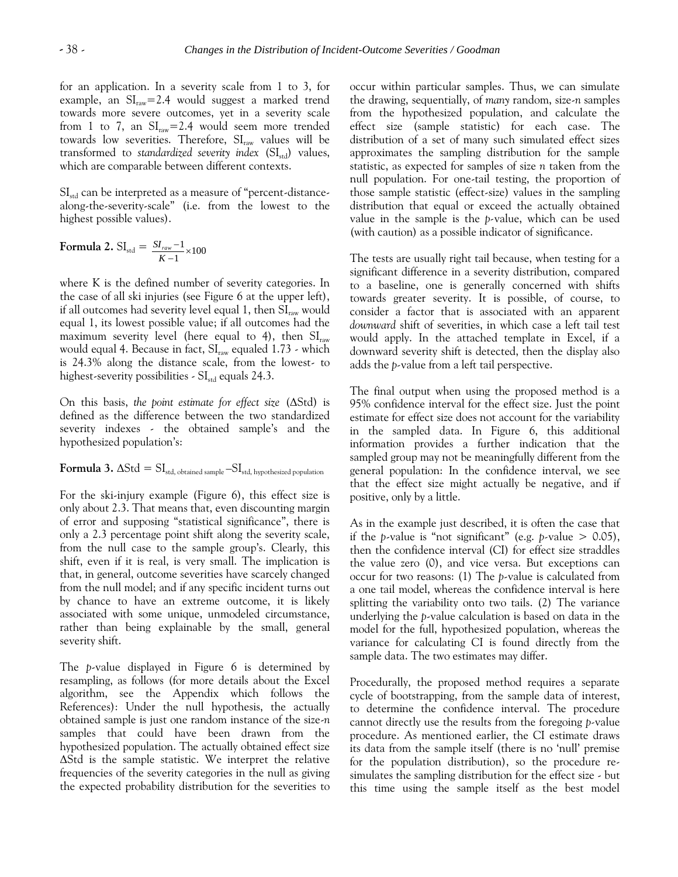for an application. In a severity scale from 1 to 3, for example, an  $SI<sub>raw</sub>=2.4$  would suggest a marked trend towards more severe outcomes, yet in a severity scale from 1 to 7, an  $SI<sub>raw</sub>=2.4$  would seem more trended towards low severities. Therefore,  $SI<sub>raw</sub>$  values will be transformed to *standardized severity index* (SI<sub>std</sub>) values, which are comparable between different contexts.

 $SI<sub>std</sub>$  can be interpreted as a measure of "percent-distancealong-the-severity-scale" (i.e. from the lowest to the highest possible values).

Formula 2. SI<sub>std</sub> = 
$$
\frac{SI_{raw} - 1}{K - 1} \times 100
$$

where K is the defined number of severity categories. In the case of all ski injuries (see Figure 6 at the upper left), if all outcomes had severity level equal 1, then  $SI<sub>raw</sub>$  would equal 1, its lowest possible value; if all outcomes had the maximum severity level (here equal to 4), then  $SI_{raw}$ would equal 4. Because in fact,  $SI<sub>raw</sub>$  equaled 1.73 - which is 24.3% along the distance scale, from the lowest- to highest-severity possibilities -  $SI<sub>std</sub>$  equals 24.3.

On this basis, *the point estimate for effect size* (ΔStd) is defined as the difference between the two standardized severity indexes - the obtained sample's and the hypothesized population's:

**Formula 3.**  $\Delta \text{Std} = \text{SI}_{\text{std, obtained sample}} - \text{SI}_{\text{std, hypothesisized population}}$ 

For the ski-injury example (Figure 6), this effect size is only about 2.3. That means that, even discounting margin of error and supposing "statistical significance", there is only a 2.3 percentage point shift along the severity scale, from the null case to the sample group's. Clearly, this shift, even if it is real, is very small. The implication is that, in general, outcome severities have scarcely changed from the null model; and if any specific incident turns out by chance to have an extreme outcome, it is likely associated with some unique, unmodeled circumstance, rather than being explainable by the small, general severity shift.

The *p*-value displayed in Figure 6 is determined by resampling, as follows (for more details about the Excel algorithm, see the Appendix which follows the References): Under the null hypothesis, the actually obtained sample is just one random instance of the size-*n*  samples that could have been drawn from the hypothesized population. The actually obtained effect size ΔStd is the sample statistic. We interpret the relative frequencies of the severity categories in the null as giving the expected probability distribution for the severities to

occur within particular samples. Thus, we can simulate the drawing, sequentially, of *many* random, size-*n* samples from the hypothesized population, and calculate the effect size (sample statistic) for each case. The distribution of a set of many such simulated effect sizes approximates the sampling distribution for the sample statistic, as expected for samples of size *n* taken from the null population. For one-tail testing, the proportion of those sample statistic (effect-size) values in the sampling distribution that equal or exceed the actually obtained value in the sample is the *p-*value, which can be used (with caution) as a possible indicator of significance.

The tests are usually right tail because, when testing for a significant difference in a severity distribution, compared to a baseline, one is generally concerned with shifts towards greater severity. It is possible, of course, to consider a factor that is associated with an apparent *downward* shift of severities, in which case a left tail test would apply. In the attached template in Excel, if a downward severity shift is detected, then the display also adds the *p-*value from a left tail perspective.

The final output when using the proposed method is a 95% confidence interval for the effect size. Just the point estimate for effect size does not account for the variability in the sampled data. In Figure 6, this additional information provides a further indication that the sampled group may not be meaningfully different from the general population: In the confidence interval, we see that the effect size might actually be negative, and if positive, only by a little.

As in the example just described, it is often the case that if the *p*-value is "not significant" (e.g. *p*-value  $> 0.05$ ), then the confidence interval (CI) for effect size straddles the value zero (0), and vice versa. But exceptions can occur for two reasons: (1) The *p*-value is calculated from a one tail model, whereas the confidence interval is here splitting the variability onto two tails. (2) The variance underlying the *p*-value calculation is based on data in the model for the full, hypothesized population, whereas the variance for calculating CI is found directly from the sample data. The two estimates may differ.

Procedurally, the proposed method requires a separate cycle of bootstrapping, from the sample data of interest, to determine the confidence interval. The procedure cannot directly use the results from the foregoing *p-*value procedure. As mentioned earlier, the CI estimate draws its data from the sample itself (there is no 'null' premise for the population distribution), so the procedure resimulates the sampling distribution for the effect size - but this time using the sample itself as the best model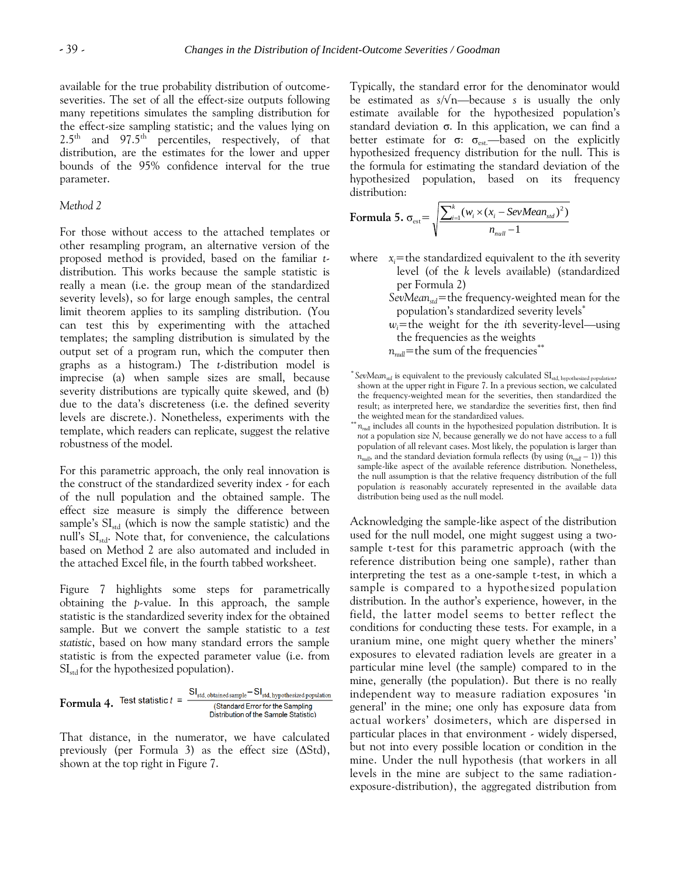available for the true probability distribution of outcomeseverities. The set of all the effect-size outputs following many repetitions simulates the sampling distribution for the effect-size sampling statistic; and the values lying on  $2.5<sup>th</sup>$  and  $97.5<sup>th</sup>$  percentiles, respectively, of that distribution, are the estimates for the lower and upper bounds of the 95% confidence interval for the true parameter.

#### *Method 2*

For those without access to the attached templates or other resampling program, an alternative version of the proposed method is provided, based on the familiar *t*distribution. This works because the sample statistic is really a mean (i.e. the group mean of the standardized severity levels), so for large enough samples, the central limit theorem applies to its sampling distribution. (You can test this by experimenting with the attached templates; the sampling distribution is simulated by the output set of a program run, which the computer then graphs as a histogram.) The *t-*distribution model is imprecise (a) when sample sizes are small, because severity distributions are typically quite skewed, and (b) due to the data's discreteness (i.e. the defined severity levels are discrete.). Nonetheless, experiments with the template, which readers can replicate, suggest the relative robustness of the model.

For this parametric approach, the only real innovation is the construct of the standardized severity index - for each of the null population and the obtained sample. The effect size measure is simply the difference between sample's  $SI<sub>std</sub>$  (which is now the sample statistic) and the null's SI<sub>std</sub>. Note that, for convenience, the calculations based on Method 2 are also automated and included in the attached Excel file, in the fourth tabbed worksheet.

Figure 7 highlights some steps for parametrically obtaining the *p-*value. In this approach, the sample statistic is the standardized severity index for the obtained sample. But we convert the sample statistic to a *test statistic*, based on how many standard errors the sample statistic is from the expected parameter value (i.e. from  $SI<sub>std</sub>$  for the hypothesized population).

**Formula 4.** Test statistic 
$$
t = \frac{S I_{\text{std, obtained sample}} - S I_{\text{std, hypothesized population}}}{S_{\text{Stat, hard Error for the Sampling Distribution of the Sample Statistic)}}
$$

That distance, in the numerator, we have calculated previously (per Formula 3) as the effect size (ΔStd), shown at the top right in Figure 7.

Typically, the standard error for the denominator would be estimated as *s*/√n—because *s* is usually the only estimate available for the hypothesized population's standard deviation  $\sigma$ . In this application, we can find a better estimate for  $\sigma$ :  $\sigma_{\text{est}}$ —based on the explicitly hypothesized frequency distribution for the null. This is the formula for estimating the standard deviation of the hypothesized population, based on its frequency distribution:

Formula 5. 
$$
\sigma_{est} = \sqrt{\frac{\sum_{i=1}^{k} (w_i \times (x_i - SevMean_{std})^2)}{n_{null} - 1}}
$$

where  $x_i$ =the standardized equivalent to the *i*th severity level (of the *k* levels available) (standardized per Formula 2)

> *SevMeanstd*=the frequency-weighted mean for the population's standardized severity levels\*

> $w_i$ =the weight for the *i*th severity-level—using the frequencies as the weights

 $n_{null}$ =the sum of the frequencies<sup>\*\*</sup>

Acknowledging the sample-like aspect of the distribution used for the null model, one might suggest using a twosample t-test for this parametric approach (with the reference distribution being one sample), rather than interpreting the test as a one-sample t-test, in which a sample is compared to a hypothesized population distribution. In the author's experience, however, in the field, the latter model seems to better reflect the conditions for conducting these tests. For example, in a uranium mine, one might query whether the miners' exposures to elevated radiation levels are greater in a particular mine level (the sample) compared to in the mine, generally (the population). But there is no really independent way to measure radiation exposures 'in general' in the mine; one only has exposure data from actual workers' dosimeters, which are dispersed in particular places in that environment - widely dispersed, but not into every possible location or condition in the mine. Under the null hypothesis (that workers in all levels in the mine are subject to the same radiationexposure-distribution), the aggregated distribution from

<sup>\*</sup> *SevMeanstd* is equivalent to the previously calculated SIstd, hypothesized population, shown at the upper right in Figure 7. In a previous section, we calculated the frequency-weighted mean for the severities, then standardized the result; as interpreted here, we standardize the severities first, then find the weighted mean for the standardized values.

<sup>\*\*</sup> *nnull* includes all counts in the hypothesized population distribution. It is *not* a population size *N,* because generally we do not have access to a full population of all relevant cases. Most likely, the population is larger than  $n<sub>null</sub>$ , and the standard deviation formula reflects (by using  $(n<sub>null</sub> - 1)$ ) this sample-like aspect of the available reference distribution. Nonetheless, the null assumption is that the relative frequency distribution of the full population *is* reasonably accurately represented in the available data distribution being used as the null model.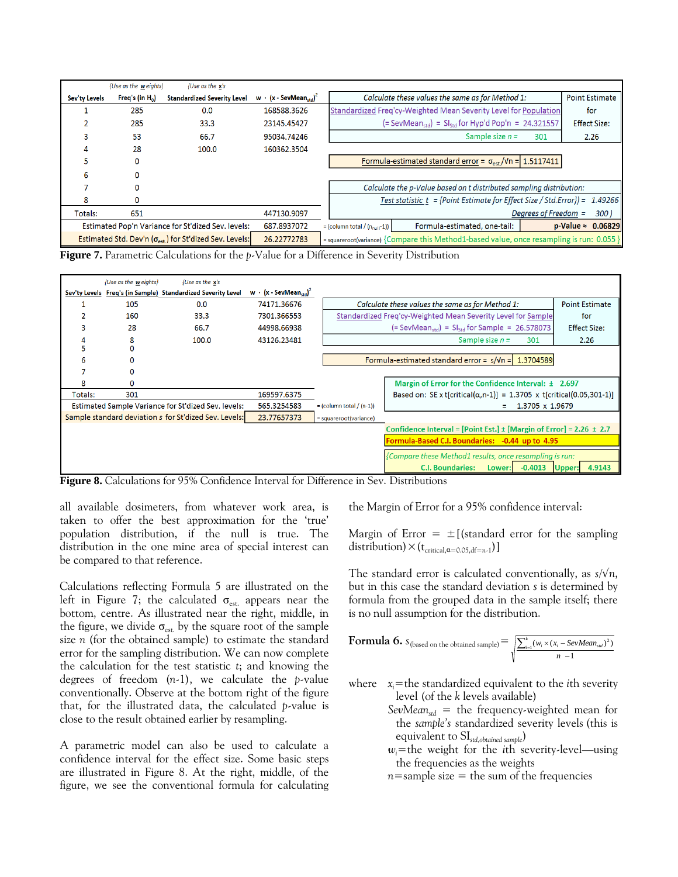|               | {Use as the weights}                                              | {Use as the $x's$                                                      |                                                      |                                      |                                                                                           |                      |                                  |
|---------------|-------------------------------------------------------------------|------------------------------------------------------------------------|------------------------------------------------------|--------------------------------------|-------------------------------------------------------------------------------------------|----------------------|----------------------------------|
| Sev'ty Levels | Freq's (in $H_0$ )                                                | <b>Standardized Severity Level</b>                                     | w $\cdot$ (x - SevMean <sub>ctd</sub> ) <sup>2</sup> |                                      | Calculate these values the same as for Method 1:                                          |                      | <b>Point Estimate</b>            |
|               | 285                                                               | 0.0                                                                    | 168588.3626                                          |                                      | Standardized Freq'cy-Weighted Mean Severity Level for Population                          |                      | for                              |
|               | 285                                                               | 33.3                                                                   | 23145.45427                                          |                                      | $(=$ SevMean <sub>std</sub> $) =$ S <sub>std</sub> for Hyp'd Pop'n = 24.321557            |                      | <b>Effect Size:</b>              |
|               | 53                                                                | 66.7                                                                   | 95034.74246                                          |                                      | Sample size $n =$                                                                         | 301                  | 2.26                             |
|               | 28                                                                | 100.0                                                                  | 160362.3504                                          |                                      |                                                                                           |                      |                                  |
|               | Ω                                                                 |                                                                        |                                                      |                                      | Formula-estimated standard error = $\sigma_{\text{est}}/Vn = 1.5117411$                   |                      |                                  |
| ь             |                                                                   |                                                                        |                                                      |                                      |                                                                                           |                      |                                  |
|               |                                                                   |                                                                        |                                                      |                                      | Calculate the p-Value based on t distributed sampling distribution:                       |                      |                                  |
| 8             |                                                                   |                                                                        |                                                      |                                      | Test statistic $t = \{Point Estimate for Effect Size / Std. Error\}$ =                    |                      | 1.49266                          |
| Totals:       | 651                                                               |                                                                        | 447130.9097                                          |                                      |                                                                                           | Degrees of Freedom = | 300)                             |
|               | Estimated Pop'n Variance for St'dized Sev. levels:<br>687.8937072 |                                                                        |                                                      | $=$ (column total / $(n_{null}-1)$ ) | Formula-estimated, one-tail:                                                              |                      | $p\text{-Value} \approx 0.06829$ |
|               |                                                                   | Estimated Std. Dev'n $(\sigma_{\text{est}})$ for St'dized Sev. Levels: | 26.22772783                                          |                                      | = squareroot(variance) {Compare this Method1-based value, once resampling is run: 0.055 } |                      |                                  |

**Figure 7.** Parametric Calculations for the *p*-Value for a Difference in Severity Distribution



**Figure 8.** Calculations for 95% Confidence Interval for Difference in Sev. Distributions

all available dosimeters, from whatever work area, is taken to offer the best approximation for the 'true' population distribution, if the null is true. The distribution in the one mine area of special interest can be compared to that reference.

Calculations reflecting Formula 5 are illustrated on the left in Figure 7; the calculated  $\sigma_{est}$  appears near the bottom, centre. As illustrated near the right, middle, in the figure, we divide  $\sigma_{est.}$  by the square root of the sample size *n* (for the obtained sample) to estimate the standard error for the sampling distribution. We can now complete the calculation for the test statistic *t*; and knowing the degrees of freedom (*n*-1), we calculate the *p-*value conventionally. Observe at the bottom right of the figure that, for the illustrated data, the calculated *p*-value is close to the result obtained earlier by resampling.

A parametric model can also be used to calculate a confidence interval for the effect size. Some basic steps are illustrated in Figure 8. At the right, middle, of the figure, we see the conventional formula for calculating the Margin of Error for a 95% confidence interval:

Margin of Error  $= \pm$  [(standard error for the sampling distribution)  $\times$  (t<sub>critical, $\alpha$ =0.05,df=n-1</sub>)]

The standard error is calculated conventionally, as  $s/\sqrt{n}$ , but in this case the standard deviation *s* is determined by formula from the grouped data in the sample itself; there is no null assumption for the distribution.

**Formula 6.** S<sub>(based on the obtained sample)</sub> = 
$$
\sqrt{\frac{\sum_{i=1}^{k} (w_i \times (x_i - \text{SevMean}_{std})^2)}{n-1}}
$$

- where  $x_i$ =the standardized equivalent to the *i*th severity level (of the *k* levels available)
	- *SevMean*<sub>std</sub> = the frequency-weighted mean for the *sample's* standardized severity levels (this is equivalent to SI*std,obtained sample*)
	- $w_i$ =the weight for the *i*th severity-level—using the frequencies as the weights
	- $n$ =sample size = the sum of the frequencies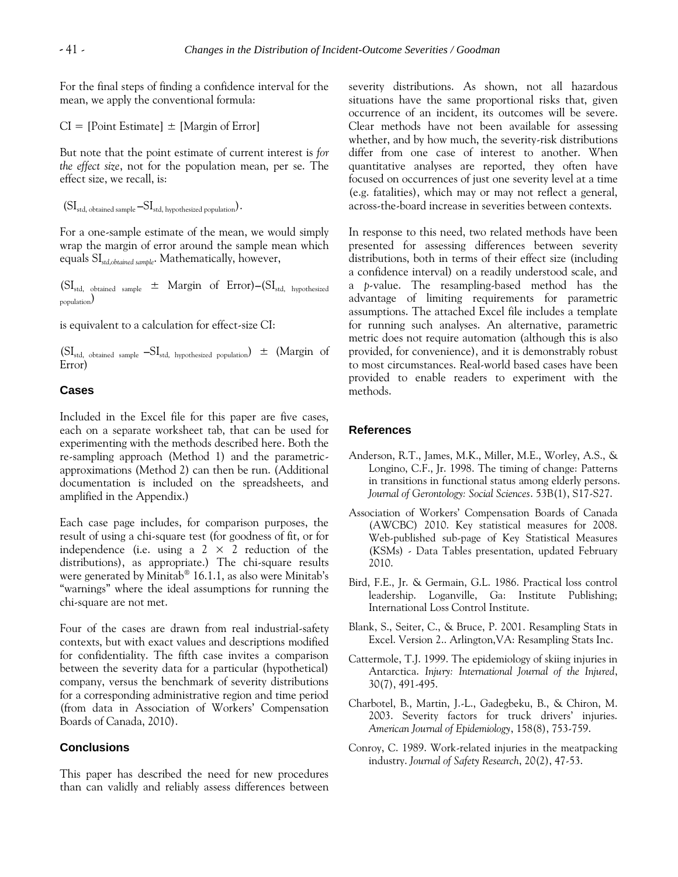For the final steps of finding a confidence interval for the mean, we apply the conventional formula:

 $CI = [Point Estimate] \pm [Margin of Error]$ 

But note that the point estimate of current interest is *for the effect size*, not for the population mean, per se. The effect size, we recall, is:

 $(SI_{std.}$  obtained sample  $-SI_{std.}$  hypothesized population).

For a one-sample estimate of the mean, we would simply wrap the margin of error around the sample mean which equals SI*std,obtained sample*. Mathematically, however,

(SIstd, obtained sample ± Margin of Error)**–**(SIstd, hypothesized population)

is equivalent to a calculation for effect-size CI:

 $(SI_{std, obtained sample} - SI_{std, hypothesized population}) \pm (Margin of$ Error)

#### **Cases**

Included in the Excel file for this paper are five cases, each on a separate worksheet tab, that can be used for experimenting with the methods described here. Both the re-sampling approach (Method 1) and the parametricapproximations (Method 2) can then be run. (Additional documentation is included on the spreadsheets, and amplified in the Appendix.)

Each case page includes, for comparison purposes, the result of using a chi-square test (for goodness of fit, or for independence (i.e. using a  $2 \times 2$  reduction of the distributions), as appropriate.) The chi-square results were generated by Minitab<sup>®</sup> 16.1.1, as also were Minitab's "warnings" where the ideal assumptions for running the chi-square are not met.

Four of the cases are drawn from real industrial-safety contexts, but with exact values and descriptions modified for confidentiality. The fifth case invites a comparison between the severity data for a particular (hypothetical) company, versus the benchmark of severity distributions for a corresponding administrative region and time period (from data in Association of Workers' Compensation Boards of Canada, 2010).

#### **Conclusions**

This paper has described the need for new procedures than can validly and reliably assess differences between severity distributions. As shown, not all hazardous situations have the same proportional risks that, given occurrence of an incident, its outcomes will be severe. Clear methods have not been available for assessing whether, and by how much, the severity-risk distributions differ from one case of interest to another. When quantitative analyses are reported, they often have focused on occurrences of just one severity level at a time (e.g. fatalities), which may or may not reflect a general, across-the-board increase in severities between contexts.

In response to this need, two related methods have been presented for assessing differences between severity distributions, both in terms of their effect size (including a confidence interval) on a readily understood scale, and a *p-*value. The resampling-based method has the advantage of limiting requirements for parametric assumptions. The attached Excel file includes a template for running such analyses. An alternative, parametric metric does not require automation (although this is also provided, for convenience), and it is demonstrably robust to most circumstances. Real-world based cases have been provided to enable readers to experiment with the methods.

#### **References**

- Anderson, R.T., James, M.K., Miller, M.E., Worley, A.S., & Longino, C.F., Jr. 1998. The timing of change: Patterns in transitions in functional status among elderly persons. *Journal of Gerontology: Social Sciences*. 53B(1), S17-S27.
- Association of Workers' Compensation Boards of Canada (AWCBC) 2010. Key statistical measures for 2008. Web-published sub-page of Key Statistical Measures (KSMs) - Data Tables presentation, updated February 2010.
- Bird, F.E., Jr. & Germain, G.L. 1986. Practical loss control leadership. Loganville, Ga: Institute Publishing; International Loss Control Institute.
- Blank, S., Seiter, C., & Bruce, P. 2001. Resampling Stats in Excel. Version 2.. Arlington,VA: Resampling Stats Inc.
- Cattermole, T.J. 1999. The epidemiology of skiing injuries in Antarctica. *Injury: International Journal of the Injured*, 30(7), 491-495.
- Charbotel, B., Martin, J.-L., Gadegbeku, B., & Chiron, M. 2003. Severity factors for truck drivers' injuries. *American Journal of Epidemiology*, 158(8), 753-759.
- Conroy, C. 1989. Work-related injuries in the meatpacking industry. *Journal of Safety Research*, 20(2), 47-53.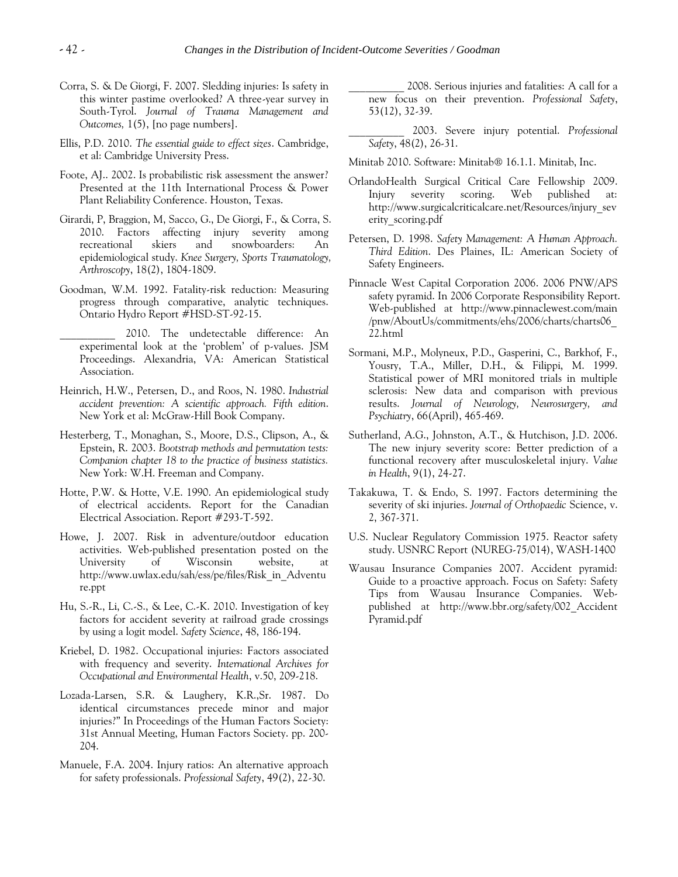- Corra, S. & De Giorgi, F. 2007. Sledding injuries: Is safety in this winter pastime overlooked? A three-year survey in South-Tyrol. *Journal of Trauma Management and Outcomes,* 1(5), [no page numbers].
- Ellis, P.D. 2010. *The essential guide to effect sizes*. Cambridge, et al: Cambridge University Press.
- Foote, AJ.. 2002. Is probabilistic risk assessment the answer? Presented at the 11th International Process & Power Plant Reliability Conference. Houston, Texas.
- Girardi, P, Braggion, M, Sacco, G., De Giorgi, F., & Corra, S. 2010. Factors affecting injury severity among recreational skiers and snowboarders: An epidemiological study. *Knee Surgery, Sports Traumatology, Arthroscopy*, 18(2), 1804-1809.
- Goodman, W.M. 1992. Fatality-risk reduction: Measuring progress through comparative, analytic techniques. Ontario Hydro Report #HSD-ST-92-15.
	- 2010. The undetectable difference: An experimental look at the 'problem' of p-values. JSM Proceedings. Alexandria, VA: American Statistical Association.
- Heinrich, H.W., Petersen, D., and Roos, N. 1980. *Industrial accident prevention: A scientific approach. Fifth edition*. New York et al: McGraw-Hill Book Company.
- Hesterberg, T., Monaghan, S., Moore, D.S., Clipson, A., & Epstein, R. 2003. *Bootstrap methods and permutation tests: Companion chapter 18 to the practice of business statistics.* New York: W.H. Freeman and Company.
- Hotte, P.W. & Hotte, V.E. 1990. An epidemiological study of electrical accidents. Report for the Canadian Electrical Association. Report #293-T-592.
- Howe, J. 2007. Risk in adventure/outdoor education activities. Web-published presentation posted on the University of Wisconsin website, at http://www.uwlax.edu/sah/ess/pe/files/Risk\_in\_Adventu re.ppt
- Hu, S.-R., Li, C.-S., & Lee, C.-K. 2010. Investigation of key factors for accident severity at railroad grade crossings by using a logit model. *Safety Science*, 48, 186-194.
- Kriebel, D. 1982. Occupational injuries: Factors associated with frequency and severity. *International Archives for Occupational and Environmental Health*, v.50, 209-218.
- Lozada-Larsen, S.R. & Laughery, K.R.,Sr. 1987. Do identical circumstances precede minor and major injuries?" In Proceedings of the Human Factors Society: 31st Annual Meeting, Human Factors Society. pp. 200- 204.
- Manuele, F.A. 2004. Injury ratios: An alternative approach for safety professionals. *Professional Safety*, 49(2), 22-30.

2008. Serious injuries and fatalities: A call for a new focus on their prevention. *Professional Safety*, 53(12), 32-39.

- \_\_\_\_\_\_\_\_\_\_ 2003. Severe injury potential. *Professional Safety*, 48(2), 26-31.
- Minitab 2010. Software: Minitab® 16.1.1. Minitab, Inc.
- OrlandoHealth Surgical Critical Care Fellowship 2009. Injury severity scoring. Web published at: http://www.surgicalcriticalcare.net/Resources/injury\_sev erity\_scoring.pdf
- Petersen, D. 1998. *Safety Management: A Human Approach. Third Edition*. Des Plaines, IL: American Society of Safety Engineers.
- Pinnacle West Capital Corporation 2006. 2006 PNW/APS safety pyramid. In 2006 Corporate Responsibility Report. Web-published at http://www.pinnaclewest.com/main /pnw/AboutUs/commitments/ehs/2006/charts/charts06\_ 22.html
- Sormani, M.P., Molyneux, P.D., Gasperini, C., Barkhof, F., Yousry, T.A., Miller, D.H., & Filippi, M. 1999. Statistical power of MRI monitored trials in multiple sclerosis: New data and comparison with previous results. *Journal of Neurology, Neurosurgery, and Psychiatry*, 66(April), 465-469.
- Sutherland, A.G., Johnston, A.T., & Hutchison, J.D. 2006. The new injury severity score: Better prediction of a functional recovery after musculoskeletal injury. *Value in Health*, 9(1), 24-27.
- Takakuwa, T. & Endo, S. 1997. Factors determining the severity of ski injuries. *Journal of Orthopaedic* Science, v. 2, 367-371.
- U.S. Nuclear Regulatory Commission 1975. Reactor safety study. USNRC Report (NUREG-75/014), WASH-1400
- Wausau Insurance Companies 2007. Accident pyramid: Guide to a proactive approach. Focus on Safety: Safety Tips from Wausau Insurance Companies. Webpublished at http://www.bbr.org/safety/002\_Accident Pyramid.pdf